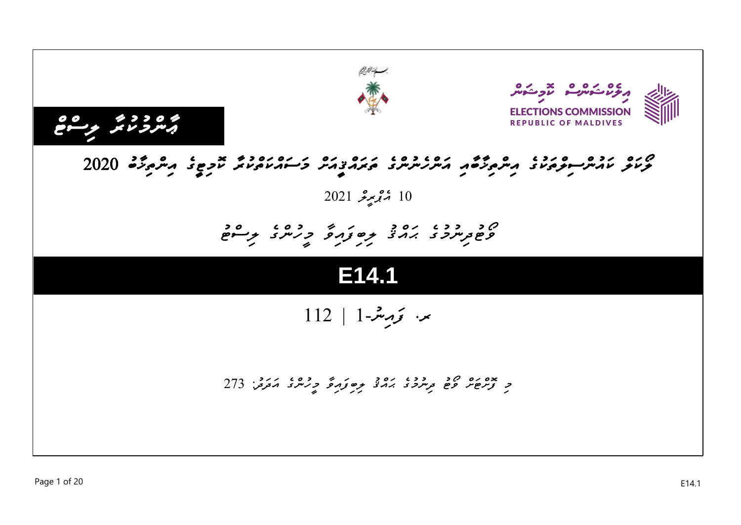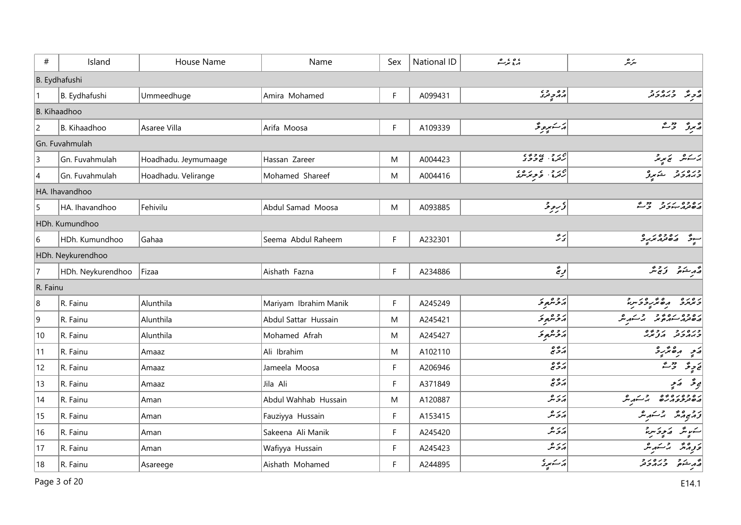| #        | Island            | House Name           | Name                  | Sex       | National ID | ړه پر ه                                       | ىئرىتر                                                      |
|----------|-------------------|----------------------|-----------------------|-----------|-------------|-----------------------------------------------|-------------------------------------------------------------|
|          | B. Eydhafushi     |                      |                       |           |             |                                               |                                                             |
|          | B. Eydhafushi     | Ummeedhuge           | Amira Mohamed         | F         | A099431     | ر و ه په و ،<br>مرگه په پور                   | ه وره در د                                                  |
|          | B. Kihaadhoo      |                      |                       |           |             |                                               |                                                             |
| 2        | B. Kihaadhoo      | Asaree Villa         | Arifa Moosa           | F         | A109339     | ئەسئەبىرە قم                                  | ە ئىمرۇ ئۇسىگە                                              |
|          | Gn. Fuvahmulah    |                      |                       |           |             |                                               |                                                             |
| 3        | Gn. Fuvahmulah    | Hoadhadu. Jeymumaage | Hassan Zareer         | ${\sf M}$ | A004423     | ج ر و ۔ بے و دے ۔<br>رامرہ گئے و و ی          | ر کر کر گرام کر دیگر<br>در برابر دیگر<br>در برابرد تر شویرو |
|          | Gn. Fuvahmulah    | Hoadhadu. Velirange  | Mohamed Shareef       | M         | A004416     | ج ر ج ع ع بر و ع<br>رس ع مح <del>ب</del> ر سر |                                                             |
|          | HA. Ihavandhoo    |                      |                       |           |             |                                               |                                                             |
| 5        | HA. Ihavandhoo    | Fehivilu             | Abdul Samad Moosa     | M         | A093885     | ئۇ س <sub>ى</sub> بورىتى<br>                  | נסכס נגב מדי.<br>גיסנג-הכנק כ                               |
|          | HDh. Kumundhoo    |                      |                       |           |             |                                               |                                                             |
| 6        | HDh. Kumundhoo    | Gahaa                | Seema Abdul Raheem    | F         | A232301     | ىرچ                                           | ر ده ده ده در ه                                             |
|          | HDh. Neykurendhoo |                      |                       |           |             |                                               |                                                             |
| 7        | HDh. Neykurendhoo | Fizaa                | Aishath Fazna         | F         | A234886     | ومج                                           | ۇرىشقى ئۇچ                                                  |
| R. Fainu |                   |                      |                       |           |             |                                               |                                                             |
| 8        | R. Fainu          | Alunthila            | Mariyam Ibrahim Manik | F         | A245249     | ارتخه شهوخه                                   | ر ه بر ه<br><del>ر</del> بر بر و<br>ەھ ئەر 35 سرىر<br>م     |
| 9        | R. Fainu          | Alunthila            | Abdul Sattar Hussain  | M         | A245421     | ارتخه شهوخه                                   | גם כם גם זה כבירה בריק הר                                   |
| $10$     | R. Fainu          | Alunthila            | Mohamed Afrah         | M         | A245427     | لأخر شهوخه                                    | כנסנכ נכשם<br>כגתכנת הציגה                                  |
| 11       | R. Fainu          | Amaaz                | Ali Ibrahim           | M         | A102110     | ر و ه<br>د د ج                                |                                                             |
| 12       | R. Fainu          | Amaaz                | Jameela Moosa         | F         | A206946     | ر و ه<br>د د ج                                | ر<br>تع تر تخر<br>دو ع                                      |
| 13       | R. Fainu          | Amaaz                | Jila Ali              | F         | A371849     | پرځ مح                                        | يرتخر كالمح                                                 |
| 14       | R. Fainu          | Aman                 | Abdul Wahhab Hussain  | M         | A120887     | برىر ھ                                        | رە دەرەپەە يەسىر ش                                          |
| 15       | $ R.$ Fainu       | Aman                 | Fauziyya Hussain      | F         | A153415     | برىر ھ                                        | زدیمه بر شهر                                                |
| 16       | $ R.$ Fainu       | Aman                 | Sakeena Ali Manik     | F         | A245420     | برىر ھ                                        | سكيانتش الأموقاسية                                          |
| 17       | R. Fainu          | Aman                 | Wafiyya Hussain       | F         | A245423     | برىر ھ                                        | ورورش برستهر                                                |
| 18       | R. Fainu          | Asareege             | Aishath Mohamed       | F         | A244895     | ئە سەئىيە ئە                                  | و دره دره در در<br>درگار شوه د بر در در                     |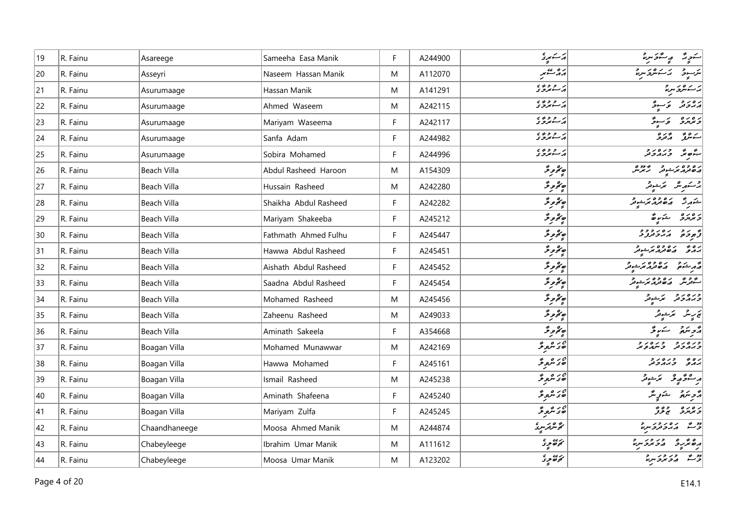| 19 | R. Fainu | Asareege           | Sameeha Easa Manik    | F         | A244900 | ئەسئە يېرى                          | سَوِيرٌ وپِسْوَسِرِهِ                        |
|----|----------|--------------------|-----------------------|-----------|---------|-------------------------------------|----------------------------------------------|
| 20 | R. Fainu | Asseyri            | Naseem Hassan Manik   | ${\sf M}$ | A112070 | لئەرىئىمبر                          | مترسوق بركشتر ويراد                          |
| 21 | R. Fainu | Asurumaage         | Hassan Manik          | M         | A141291 | بر ج ج مي د<br>مرگ مترکو مي         | ىز سەھ <sub>ى</sub> ج س <sub>ى</sub> ر       |
| 22 | R. Fainu | Asurumaage         | Ahmed Waseem          | M         | A242115 | ر د د ده ،<br>پرسه پور د            | رەرو رىدو                                    |
| 23 | R. Fainu | Asurumaage         | Mariyam Waseema       | F         | A242117 | ر و و د »<br>پرستوری                | ويواده وساقة                                 |
| 24 | R. Fainu | Asurumaage         | Sanfa Adam            | F         | A244982 | ر و و د »<br>پرسه پرو د             | سەمەي ھەرە                                   |
| 25 | R. Fainu | Asurumaage         | Sobira Mohamed        | F         | A244996 | ر و و د »<br>پر سه بود د            | پژونژ دره رو                                 |
| 26 | R. Fainu | <b>Beach Villa</b> | Abdul Rasheed Haroon  | M         | A154309 | ھەمچە <i>مەڭ</i>                    | ره وه ريدو په ووه<br>اړه تره ترشوتر کرترس    |
| 27 | R. Fainu | Beach Villa        | Hussain Rasheed       | M         | A242280 | <br> چ <sup>رچ</sup> ورځه           | جسكير هي الكرجومي                            |
| 28 | R. Fainu | Beach Villa        | Shaikha Abdul Rasheed | F         | A242282 | ھٍ کچمو مَحَر                       | أشكرت كالمتحادثة والمحر والمحر               |
| 29 | R. Fainu | Beach Villa        | Mariyam Shakeeba      | F         | A245212 | ھەمجوعرىتى                          | وبروره خنوة                                  |
| 30 | R. Fainu | Beach Villa        | Fathmath Ahmed Fulhu  | F         | A245447 | په چومو محر                         | أو د د دورود                                 |
| 31 | R. Fainu | Beach Villa        | Hawwa Abdul Rasheed   | F         | A245451 | ھەمجوعر                             | ره ده ده ده در د<br>برده ده ترد برخونر       |
| 32 | R. Fainu | Beach Villa        | Aishath Abdul Rasheed | F         | A245452 | جەمحرىرىگە                          | ه در در دره وه در در<br>در شوه در در مرشود   |
| 33 | R. Fainu | Beach Villa        | Saadna Abdul Rasheed  | F         | A245454 | ە پەھرىتە<br>ئ                      | ر و و ده وه د و د د و د                      |
| 34 | R. Fainu | Beach Villa        | Mohamed Rasheed       | ${\sf M}$ | A245456 | ھەمچە <i>مەڭ</i>                    | ورەرو بەيدۇر                                 |
| 35 | R. Fainu | Beach Villa        | Zaheenu Rasheed       | M         | A249033 | ە پەھرىتە<br>ئ                      | كالمحرس مكره وتر                             |
| 36 | R. Fainu | Beach Villa        | Aminath Sakeela       | F         | A354668 | په ټوپو مخه                         | أزويتهم سنبوقه                               |
| 37 | R. Fainu | Boagan Villa       | Mohamed Munawwar      | M         | A242169 | ە ئەش <sub>ھو</sub> مۇ              | כנסנכ כנסנכ<br><i>כג</i> תכת כית <i>ת</i> פת |
| 38 | R. Fainu | Boagan Villa       | Hawwa Mohamed         | F         | A245161 | 2 كىمبر مىتى مىتى<br>مەنبە          | ים ביםיב<br>החפ בהחבת                        |
| 39 | R. Fainu | Boagan Villa       | Ismail Rasheed        | M         | A245238 | صى سر <sub>ى</sub> ئە               | رەھۇر ئىير                                   |
| 40 | R. Fainu | Boagan Villa       | Aminath Shafeena      | F         | A245240 | ەر ەردۇ.<br>ھىر سر <sub>ى</sub> بەر | أأدو يتكمج التكويتر                          |
| 41 | R. Fainu | Boagan Villa       | Mariyam Zulfa         | F         | A245245 | 0 ره ه عر                           | د ۵ د ۵ و ۵ و ۶<br>  د بربر د سمبروتر        |
| 42 | R. Fainu | Chaandhaneege      | Moosa Ahmed Manik     | ${\sf M}$ | A244874 | ى<br>ئۇسرىرىي <sub>رى</sub>         | כ הפנכת                                      |
| 43 | R. Fainu | Chabeyleege        | Ibrahim Umar Manik    | ${\sf M}$ | A111612 | ري ء<br>کوھ <del>پ</del> ر د        | תפתוב הכתביתי                                |
| 44 | R. Fainu | Chabeyleege        | Moosa Umar Manik      | M         | A123202 | ري د<br>کوه مړ                      | a creción                                    |
|    |          |                    |                       |           |         |                                     |                                              |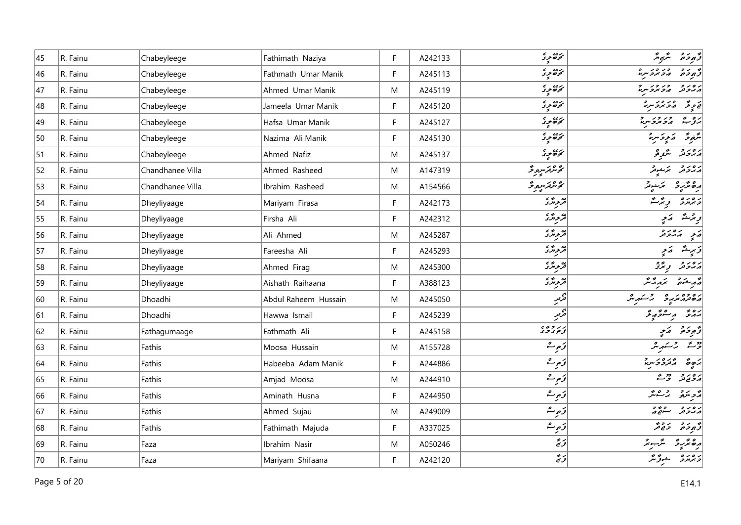| 45 | R. Fainu | Chabeyleege      | Fathimath Naziya     | F         | A242133 | ري ء<br>کوھ پر د                     | توجوجو شجوشه                                        |
|----|----------|------------------|----------------------|-----------|---------|--------------------------------------|-----------------------------------------------------|
| 46 | R. Fainu | Chabeyleege      | Fathmath Umar Manik  | F.        | A245113 | ری ۔<br>کوھنچ د                      | و د در در در                                        |
| 47 | R. Fainu | Chabeyleege      | Ahmed Umar Manik     | M         | A245119 | ري ء<br>کوھ پر د                     | גם גם כגבליתים                                      |
| 48 | R. Fainu | Chabeyleege      | Jameela Umar Manik   | F         | A245120 | ري ۔<br>کوھ پر <sup>ج</sup>          | בַּבְלֹ הַכִּמְלִיתְ                                |
| 49 | R. Fainu | Chabeyleege      | Hafsa Umar Manik     | F         | A245127 | ري د<br>کوه پور                      | גפה בגביתי                                          |
| 50 | R. Fainu | Chabeyleege      | Nazima Ali Manik     | F         | A245130 | ری دی<br>نموه د پر                   | شَعِرَةُ   مَرْجِرَ سِرْءٌ                          |
| 51 | R. Fainu | Chabeyleege      | Ahmed Nafiz          | M         | A245137 | ري ء<br>کوھ پر د                     | رەر ئەرۋە                                           |
| 52 | R. Fainu | Chandhanee Villa | Ahmed Rasheed        | M         | A147319 | ى<br>ئۇنىرىئر س <sub>ى</sub> رىگە    | أرجو ترجيع                                          |
| 53 | R. Fainu | Chandhanee Villa | Ibrahim Rasheed      | M         | A154566 | ىچە ئىرتى <i>زىبو</i> ئ <sup>ۇ</sup> | رەترىر تر                                           |
| 54 | R. Fainu | Dheyliyaage      | Mariyam Firasa       | F         | A242173 | ں<br>تروبری                          | ر ه ر ه<br>د بربرو<br>ويزينه                        |
| 55 | R. Fainu | Dheyliyaage      | Firsha Ali           | F         | A242312 | شرح مر<br>  قرح مر                   | وېرېشه<br>ر<br>ەئەمە                                |
| 56 | R. Fainu | Dheyliyaage      | Ali Ahmed            | M         | A245287 | شرم میری<br>  قرموردی                | أيمو أيرو والمحمد                                   |
| 57 | R. Fainu | Dheyliyaage      | Fareesha Ali         | F         | A245293 | قرمویزی<br>  قرمویزی                 | توموث<br>ەنىيە                                      |
| 58 | R. Fainu | Dheyliyaage      | Ahmed Firag          | ${\sf M}$ | A245300 | شرم مید بر<br>  قرمز بر د            | رەرد پەر                                            |
| 59 | R. Fainu | Dheyliyaage      | Aishath Raihaana     | F         | A388123 | ر<br>ترمویز د                        | ۇرىشكى ئىرىگىر                                      |
| 60 | R. Fainu | Dhoadhi          | Abdul Raheem Hussain | M         | A245050 | و<br>تومر                            | גם כסגם גבאתית                                      |
| 61 | R. Fainu | Dhoadhi          | Hawwa Ismail         | F.        | A245239 | جمعر                                 | برە ئەستۇمبۇ                                        |
| 62 | R. Fainu | Fathagumaage     | Fathmath Ali         | F.        | A245158 | ر ر د د »<br>زه د ر د                | و محمد الله من الله من الله من                      |
| 63 | R. Fainu | Fathis           | Moosa Hussain        | M         | A155728 | ارَموت                               | $rac{1}{2}$                                         |
| 64 | R. Fainu | Fathis           | Habeeba Adam Manik   | F         | A244886 | ا تومو <sup>ع</sup>                  | ב בפי הקירות<br>הבקבר היה ה<br>ر<br>پر <i>ہے</i> تھ |
| 65 | R. Fainu | Fathis           | Amjad Moosa          | M         | A244910 | تومو <sup>م</sup>                    | رەر دىگ                                             |
| 66 | R. Fainu | Fathis           | Aminath Husna        | F         | A244950 | ئرموے                                | بر مشرمگر<br>أرمز شرد                               |
| 67 | R. Fainu | Fathis           | Ahmed Sujau          | M         | A249009 | ترموشه                               | بر ه بر د<br>مرکز فر<br>ر حريخ چر                   |
| 68 | R. Fainu | Fathis           | Fathimath Majuda     | F         | A337025 | ىر موت<br>م                          | توجوحه ودير                                         |
| 69 | R. Fainu | Faza             | Ibrahim Nasir        | M         | A050246 | ومجنح                                |                                                     |
| 70 | R. Fainu | Faza             | Mariyam Shifaana     | F         | A242120 | ترتج                                 | رەممەد شەرىخ<br>رەممەد شەرىخ<br>دىمەد شورش          |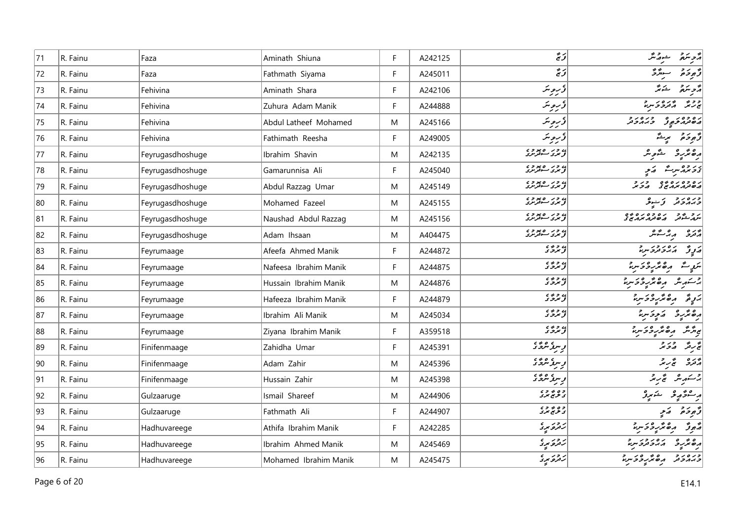| 71 | R. Fainu | Faza             | Aminath Shiuna        | F  | A242125 | ترتج                                                       | شەرگە ئىگر<br>لأحرسكم                                                               |
|----|----------|------------------|-----------------------|----|---------|------------------------------------------------------------|-------------------------------------------------------------------------------------|
| 72 | R. Fainu | Faza             | Fathmath Siyama       | F. | A245011 | ترتج                                                       | سىدۇ<br>ۇ بوز ئ                                                                     |
| 73 | R. Fainu | Fehivina         | Aminath Shara         | F. | A242106 | ۇ <sub>سرحە</sub> بىگە                                     | ړ څه سره<br>شەپتى                                                                   |
| 74 | R. Fainu | Fehivina         | Zuhura Adam Manik     | F. | A244888 | ۇر <sub>چە مى</sub> ر                                      | ככל לנפי מי                                                                         |
| 75 | R. Fainu | Fehivina         | Abdul Latheef Mohamed | M  | A245166 | ۇر <sub>چە مى</sub> ر<br>مەم                               | و ره ر د<br>تر <i>پر</i> وتر<br>ره وه ر <sub>و</sub> ه<br>پره تربر <del>ت</del> ربو |
| 76 | R. Fainu | Fehivina         | Fathimath Reesha      | F  | A249005 | ۇر <sub>ىرمە</sub> ئىر                                     | ۇۋۇۋە بېش                                                                           |
| 77 | R. Fainu | Feyrugasdhoshuge | Ibrahim Shavin        | M  | A242135 |                                                            | وە ئۈرۈ<br>ىشگە ھەشر                                                                |
| 78 | R. Fainu | Feyrugasdhoshuge | Gamarunnisa Ali       | F. | A245040 | دے ورصور و د<br>قریمری سستمبر مر <sub>ک</sub>              | ترىر دەست كەم                                                                       |
| 79 | R. Fainu | Feyrugasdhoshuge | Abdul Razzag Umar     | M  | A245149 | ) پر و ر ر ه پو و ،<br>  تو بوی سسوتوری                    | ג 2000 כג 2<br>השינו מראב הכמ                                                       |
| 80 | R. Fainu | Feyrugasdhoshuge | Mohamed Fazeel        | M  | A245155 | دے ور ے یو و ی<br>قریمری سسوترمری                          | ورەرو كەنبى                                                                         |
| 81 | R. Fainu | Feyrugasdhoshuge | Naushad Abdul Razzag  | M  | A245156 | دے ورصور و د<br>قریمری سستمبرمری                           | ر و پر و بره وه بره پره<br>سرمرشونس پره ترم برم برخ                                 |
| 82 | R. Fainu | Feyrugasdhoshuge | Adam Ihsaan           | M  | A404475 | ) <i>پر و بر و پر و ع</i><br>  تو سر ر سوفرمر <sub>ک</sub> | ەر ئەشەھر<br>په ره<br>درگرو                                                         |
| 83 | R. Fainu | Feyrumaage       | Afeefa Ahmed Manik    | F  | A244872 | ، د و و د<br>تو مرتز د                                     | 1919 קבע<br>גלב בקב ייקול<br>مَرٍ رُ                                                |
| 84 | R. Fainu | Feyrumaage       | Nafeesa Ibrahim Manik | F  | A244875 | در و در د<br>تو بورس                                       | ūر ئەس ئەھەر <i>كەن ئارى</i> ر                                                      |
| 85 | R. Fainu | Feyrumaage       | Hussain Ibrahim Manik | M  | A244876 | ړ، و و ،<br>تو مرتز ی                                      | ר האול הסתוכליטי                                                                    |
| 86 | R. Fainu | Feyrumaage       | Hafeeza Ibrahim Manik | F. | A244879 | ، د و و د<br>تو مرتز د                                     | رَزِةٌ مِعْتَبِرْدَدَ مِنْ                                                          |
| 87 | R. Fainu | Feyrumaage       | Ibrahim Ali Manik     | M  | A245034 | ، د و و د<br>تو مرتز د                                     | ە ھېڭرىرى<br>بەھ ئىرىرى<br>ە ئەبەيە ئەسرىد                                          |
| 88 | R. Fainu | Feyrumaage       | Ziyana Ibrahim Manik  | F. | A359518 | در و در د<br>تو بورس ی                                     | ە ھەمەر 3 كەردىن<br>بەھەمەر 3 كەردىن<br>ابي پڙيڙ                                    |
| 89 | R. Fainu | Finifenmaage     | Zahidha Umar          | F. | A245391 | اوسۇمىۋە                                                   | يح په قرار در در در در در کال کردند کرد.<br>م                                       |
| 90 | R. Fainu | Finifenmaage     | Adam Zahir            | M  | A245396 | اربىرد مۇد                                                 | پر ده په پر د                                                                       |
| 91 | R. Fainu | Finifenmaage     | Hussain Zahir         | M  | A245398 | ى <sub>ر سو</sub> يۇ يىر <sub>د</sub> ى<br>س               | يز سكر مثل التجاريخه                                                                |
| 92 | R. Fainu | Gulzaaruge       | Ismail Shareef        | M  | A244906 | و ه پر و ء<br>ی نومځ موبی                                  | ر عوص عمرو                                                                          |
| 93 | R. Fainu | Gulzaaruge       | Fathmath Ali          | F  | A244907 | و ه پر و ،<br>د نومځ مرد                                   | وٌجودَ حَمَدٍ                                                                       |
| 94 | R. Fainu | Hadhuvareege     | Athifa Ibrahim Manik  | F. | A242285 | تر قرح مور                                                 | ة وق<br>ە ھەتئەر 2 كەرر<br>بەھەتئەر 2 كەرىر                                         |
| 95 | R. Fainu | Hadhuvareege     | Ibrahim Ahmed Manik   | M  | A245469 | ئەنزغە ئىرىمى                                              | وهتربره<br>ر ٥ ر ٥ ر ٥<br>د پروترو سربا                                             |
| 96 | R. Fainu | Hadhuvareege     | Mohamed Ibrahim Manik | M  | A245475 | ر در پر پ                                                  | כממכנה תפתעבצית                                                                     |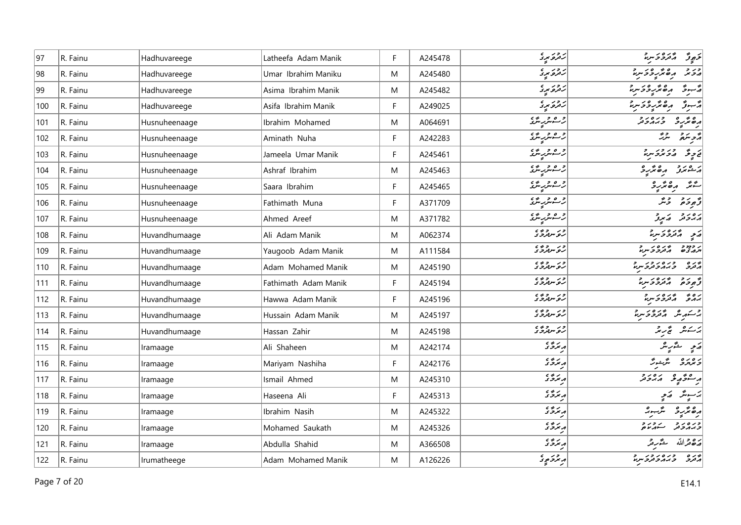| 97  | R. Fainu | Hadhuvareege  | Latheefa Adam Manik  | F           | A245478 | ر و ر پر ،<br>رنده مړي                  | پر ور در<br>پر ترو تر سربر<br>كر <sub>ى</sub> چە تۈگە     |
|-----|----------|---------------|----------------------|-------------|---------|-----------------------------------------|-----------------------------------------------------------|
| 98  | R. Fainu | Hadhuvareege  | Umar Ibrahim Maniku  | M           | A245480 | تر قرح مور                              | ەرىر<br>ە ھەمگەر 2 كەسرىد                                 |
| 99  | R. Fainu | Hadhuvareege  | Asima Ibrahim Manik  | M           | A245482 | ئەقىرىمىيەتى                            | ە ھەمەر 25 سرىر<br>م<br>ومجسوخه                           |
| 100 | R. Fainu | Hadhuvareege  | Asifa Ibrahim Manik  | F           | A249025 | ژوئر مړند                               | رە ئۈرۈ ئەرر<br>رە ئۈرۈ ئ<br>ۇ سەرى                       |
| 101 | R. Fainu | Husnuheenaage | Ibrahim Mohamed      | M           | A064691 | ر مەش <sub>رىپ</sub> ىدى<br>سىسىر       | ە ھەترىرى<br>رەھىرىرى<br>و رە ر د<br><i>د بر</i> گرىز     |
| 102 | R. Fainu | Husnuheenaage | Aminath Nuha         | $\mathsf F$ | A242283 | ر مەيرى <i>ر ش</i> كە                   | $rac{2}{3}$<br>سرجر                                       |
| 103 | R. Fainu | Husnuheenaage | Jameela Umar Manik   | F           | A245461 | ر مشتر پر سر<br>مسلم                    | رَ <sub>حر</sub> تَرُ<br>2 ב ז' די הר<br>ג' ד' ד' די ייגע |
| 104 | R. Fainu | Husnuheenaage | Ashraf Ibrahim       | M           | A245463 | ر مەيرى <sub>ر بىرى</sub><br>ئ          | رشوبرو وه بره                                             |
| 105 | R. Fainu | Husnuheenaage | Saara Ibrahim        | F           | A245465 | ر مشتر پر سر<br>مسلم                    |                                                           |
| 106 | R. Fainu | Husnuheenaage | Fathimath Muna       | F           | A371709 | ر مشتر پر سر<br>مسلم                    | تر شر<br>اؤجو خانج                                        |
| 107 | R. Fainu | Husnuheenaage | Ahmed Areef          | M           | A371782 | ر م م <sub>شر</sub> پژ <sub>ید</sub>    | أرور و درو                                                |
| 108 | R. Fainu | Huvandhumaage | Ali Adam Manik       | M           | A062374 | و ر په و د و<br>رو سربرو د              | ה התפליט                                                  |
| 109 | R. Fainu | Huvandhumaage | Yaugoob Adam Manik   | M           | A111584 | ور سروره د<br>ره سربرو د                | נ כבב כ בנים נים.<br>תגובים גנגביבייניו                   |
| 110 | R. Fainu | Huvandhumaage | Adam Mohamed Manik   | M           | A245190 | و د سرور و د<br>رو سربرد د              | שנים כניסניכליתים<br>הבקב במהכבקביתים                     |
| 111 | R. Fainu | Huvandhumaage | Fathimath Adam Manik | F           | A245194 | و ر په وه و.<br>رو سربرو د              | وتجوحه مترود مرد                                          |
| 112 | R. Fainu | Huvandhumaage | Hawwa Adam Manik     | F           | A245196 | و ر پورې<br>روس پروگ                    | גם 1974 בינים גרייניים                                    |
| 113 | R. Fainu | Huvandhumaage | Hussain Adam Manik   | M           | A245197 | و رکھنے کا مرکز کے مال<br>مرکز کرکھنے ک | جسكر شرور وكالمرد                                         |
| 114 | R. Fainu | Huvandhumaage | Hassan Zahir         | M           | A245198 | و ر په وه و.<br>رو سربرو و              | يُرْسَمْشْ الْجُرْبِرْ                                    |
| 115 | R. Fainu | Iramaage      | Ali Shaheen          | M           | A242174 | د بوره د<br>د بورگ                      | ړې ش <sub>م</sub> ر شر                                    |
| 116 | R. Fainu | Iramaage      | Mariyam Nashiha      | $\mathsf F$ | A242176 | پر تر د ی<br>  پر تر <del>ز</del> د     | رەرە شەر                                                  |
| 117 | R. Fainu | Iramaage      | Ismail Ahmed         | M           | A245310 | وبردء                                   | و عرصور دور د                                             |
| 118 | R. Fainu | Iramaage      | Haseena Ali          | F           | A245313 | ويزدى                                   | يە سىر مەر                                                |
| 119 | R. Fainu | Iramaage      | Ibrahim Nasih        | M           | A245322 | د بوره د<br>م بورگ                      |                                                           |
| 120 | R. Fainu | Iramaage      | Mohamed Saukath      | M           | A245326 | د برو ،<br>د برو د                      | و رە ر د<br><i>د بر</i> گرىر<br>سەدىرە                    |
| 121 | R. Fainu | Iramaage      | Abdulla Shahid       | M           | A366508 | بر پر ژ ء                               | ره و الله څريز<br>صفرالله څريز                            |
| 122 | R. Fainu | Irumatheege   | Adam Mohamed Manik   | M           | A126226 | ېږې تنه دي.<br>سرچره په                 | בנים כנסנכנית.<br>הבנים כמהכניפיית                        |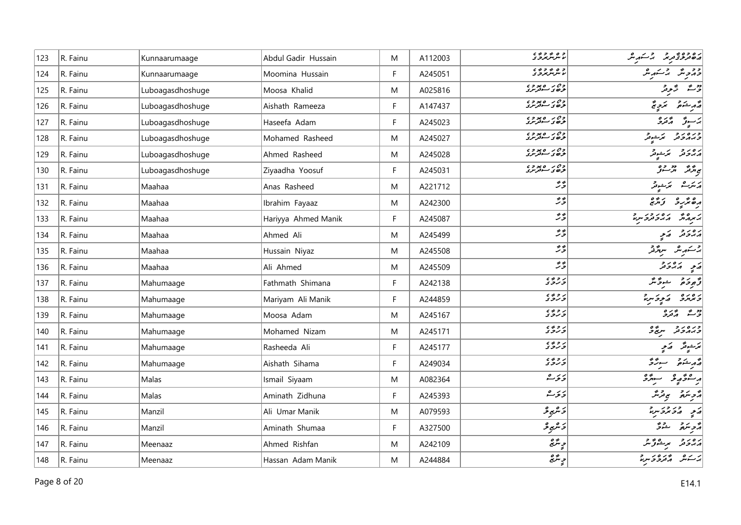| 123 | R. Fainu | Kunnaarumaage    | Abdul Gadir Hussain | M           | A112003 | و ه و و و ،<br>ما س س پر و ی                                  | ەھىروقىرىر برخىرىر                 |
|-----|----------|------------------|---------------------|-------------|---------|---------------------------------------------------------------|------------------------------------|
| 124 | R. Fainu | Kunnaarumaage    | Moomina Hussain     | $\mathsf F$ | A245051 | و ه پر و د ،<br>ما س س پر و ی                                 | ورويتر برسكريتر                    |
| 125 | R. Fainu | Luboagasdhoshuge | Moosa Khalid        | M           | A025816 | وج ر ه پوو ،<br>مون کامرمرد                                   | در شده میگردد.<br>در شده میگردد    |
| 126 | R. Fainu | Luboagasdhoshuge | Aishath Rameeza     | F           | A147437 | و <i>0 ر</i> _ 0 پر و ء<br>مون ي سنتوس                        | د مرشور<br>م<br>بحرجرتج            |
| 127 | R. Fainu | Luboagasdhoshuge | Haseefa Adam        | F.          | A245023 | و <i>0 د</i> _ 0 پر و ء<br>مون ي سنتوس                        | ئەسىزۇ<br>پور ہ<br>مرکز پ          |
| 128 | R. Fainu | Luboagasdhoshuge | Mohamed Rasheed     | M           | A245027 | و <i>0 د</i> ر 2 پو و ء<br>موھ <sub>ک</sub> ا سکو <i>نو</i> ر | ورەرو كەنبەتى                      |
| 129 | R. Fainu | Luboagasdhoshuge | Ahmed Rasheed       | M           | A245028 | وج ر ە پو و ،<br>مۇھ ي سىلمىرىرى                              | پره پر پر پر پر                    |
| 130 | R. Fainu | Luboagasdhoshuge | Ziyaadha Yoosuf     | F           | A245031 | و <i>0 د</i> ر 2 پو و ء<br>موھ <sub>ک</sub> ا سکو <i>نو</i> ر | ېږمر تر مرد وه<br>د                |
| 131 | R. Fainu | Maahaa           | Anas Rasheed        | M           | A221712 | رٌ                                                            | كالترك التمرك وقر                  |
| 132 | R. Fainu | Maahaa           | Ibrahim Fayaaz      | M           | A242300 | $\overset{\circ}{\mathcal{I}}\overset{\circ}{\mathcal{I}}$    | دە ئەر ئەدە                        |
| 133 | R. Fainu | Maahaa           | Hariyya Ahmed Manik | F           | A245087 | $\overset{\circ}{\mathcal{I}}\overset{\circ}{\mathcal{I}}$    | ג׳אות גם גבעליט                    |
| 134 | R. Fainu | Maahaa           | Ahmed Ali           | M           | A245499 | $\overset{\circ}{\mathcal{Z}}\overset{\circ}{\mathcal{Z}}$    | د ه د د کار د کار د                |
| 135 | R. Fainu | Maahaa           | Hussain Niyaz       | M           | A245508 | $\overset{\circ}{\mathcal{I}}\overset{\circ}{\mathcal{I}}$    | يز سكر مثل المريكر                 |
| 136 | R. Fainu | Maahaa           | Ali Ahmed           | M           | A245509 | $\overset{\ast}{\mathcal{Z}}\overset{\ast}{\mathcal{Z}}$      |                                    |
| 137 | R. Fainu | Mahumaage        | Fathmath Shimana    | F.          | A242138 | ر و د »<br>و رو د                                             | تزودة والمورثير                    |
| 138 | R. Fainu | Mahumaage        | Mariyam Ali Manik   | F.          | A244859 | ر و و »<br>5 رگ                                               | د ۱۵ د مر د کرد در                 |
| 139 | R. Fainu | Mahumaage        | Moosa Adam          | M           | A245167 | ر و د »<br>و رو د                                             | دیم پی مجمد حر                     |
| 140 | R. Fainu | Mahumaage        | Mohamed Nizam       | M           | A245171 | ر و » ،<br>ورو ،                                              | و ر ه ر و<br>تر پر ژ تر<br>سرىج ۋ  |
| 141 | R. Fainu | Mahumaage        | Rasheeda Ali        | $\mathsf F$ | A245177 | ر و د »<br>و رو د                                             | بمرجوش كامج                        |
| 142 | R. Fainu | Mahumaage        | Aishath Sihama      | F           | A249034 | ر و و »<br>5 رقری                                             | ۇرىشقى سىرتە                       |
| 143 | R. Fainu | Malas            | Ismail Siyaam       | M           | A082364 | ىزىمى                                                         | وصفح والمعتبرة                     |
| 144 | R. Fainu | Malas            | Aminath Zidhuna     | F           | A245393 | 5 تر ره                                                       | أأرجاح والمحمد                     |
| 145 | R. Fainu | Manzil           | Ali Umar Manik      | M           | A079593 | ۇمىئېۋ                                                        |                                    |
| 146 | R. Fainu | Manzil           | Aminath Shumaa      | F           | A327500 | ئەشىر ۋ                                                       |                                    |
| 147 | R. Fainu | Meenaaz          | Ahmed Rishfan       | M           | A242109 | جريثي                                                         | ره رو مرے و مر<br>  در دو مرے و مر |
| 148 | R. Fainu | Meenaaz          | Hassan Adam Manik   | M           | A244884 | جریٹرچ                                                        | يُرَسَدَسُ الْمُفْرِقِ وَاسْرِدِ   |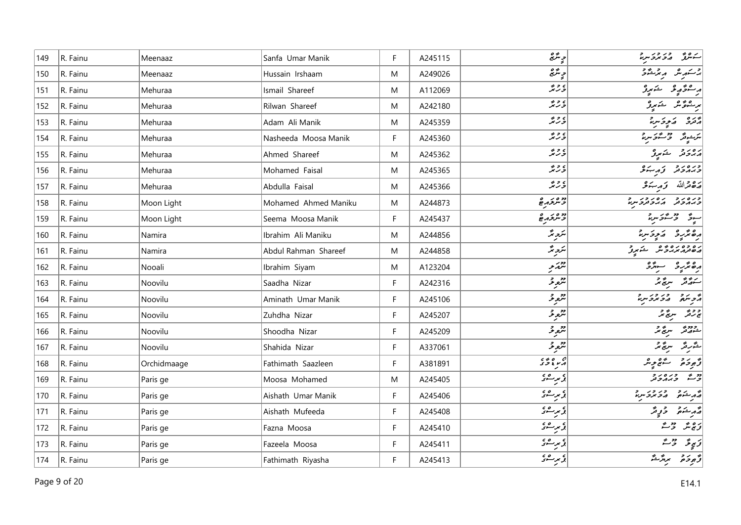| 149 | R. Fainu    | Meenaaz     | Sanfa Umar Manik     | F.          | A245115 | جريثي                               | سەس ئەر دىر بىر                          |
|-----|-------------|-------------|----------------------|-------------|---------|-------------------------------------|------------------------------------------|
| 150 | R. Fainu    | Meenaaz     | Hussain Irshaam      | M           | A249026 | حريثره                              | برسكريش مريز شوخ                         |
| 151 | R. Fainu    | Mehuraa     | Ismail Shareef       | M           | A112069 | ی و پیچ<br>حرمتر                    | رەشۇر ئىير                               |
| 152 | R. Fainu    | Mehuraa     | Rilwan Shareef       | M           | A242180 | ی و پ <sub>ش</sub>                  | ىرىشۇش شەيرۇ                             |
| 153 | R. Fainu    | Mehuraa     | Adam Ali Manik       | M           | A245359 | ی و پی<br>حرمتر                     |                                          |
| 154 | R. Fainu    | Mehuraa     | Nasheeda Moosa Manik | F.          | A245360 | ی و پیچ<br>حرمتر                    |                                          |
| 155 | R. Fainu    | Mehuraa     | Ahmed Shareef        | M           | A245362 | ی و پیچ<br>حرمتر                    | رەرو شىرو                                |
| 156 | R. Fainu    | Mehuraa     | Mohamed Faisal       | M           | A245365 | ی و پی<br>حرمتر                     | ورەرو تەرىبو                             |
| 157 | R. Fainu    | Mehuraa     | Abdulla Faisal       | M           | A245366 | ی و پ <sub>ش</sub>                  | أرەقمەللە قەربىق                         |
| 158 | R. Fainu    | Moon Light  | Mohamed Ahmed Maniku | M           | A244873 | روموبر ۾                            | כנסנכ נסנכנית                            |
| 159 | R. Fainu    | Moon Light  | Seema Moosa Manik    | F.          | A245437 | ومشرقه وهج                          |                                          |
| 160 | R. Fainu    | Namira      | Ibrahim Ali Maniku   | M           | A244856 | يئرجر                               | رە ئەير ئە ئەيدىر                        |
| 161 | R. Fainu    | Namira      | Abdul Rahman Shareef | M           | A244858 | يئرجر                               | ره وه ره وه<br>مصرم <i>برب</i> ر حس شهرو |
| 162 | R. Fainu    | Nooali      | Ibrahim Siyam        | M           | A123204 | يتدمر                               | وە ئەر ئە                                |
| 163 | R. Fainu    | Noovilu     | Saadha Nizar         | F           | A242316 | يترعر فحر                           |                                          |
| 164 | R. Fainu    | Noovilu     | Aminath Umar Manik   | F           | A245106 | لترعر فحر                           |                                          |
| 165 | R. Fainu    | Noovilu     | Zuhdha Nizar         | F.          | A245207 | يتروجه                              | جرحمہ سرچ تر                             |
| 166 | R. Fainu    | Noovilu     | Shoodha Nizar        | F.          | A245209 | يتروخه                              | دودو سرچ تر                              |
| 167 | R. Fainu    | Noovilu     | Shahida Nizar        | F.          | A337061 | لتروغه                              | شريد برويز                               |
| 168 | R. Fainu    | Orchidmaage | Fathimath Saazleen   | F           | A381891 | 55249                               | قورة متعجم                               |
| 169 | R. Fainu    | Paris ge    | Moosa Mohamed        | M           | A245405 | ې <sub>مور</sub> ه دي<br>د مو       | ووري وره دو                              |
| 170 | $ R.$ Fainu | Paris ge    | Aishath Umar Manik   | $\mathsf F$ | A245406 | ې <sub>مور</sub> ه دي<br>ر          | ה.<br>האג בית הכתבית ו                   |
| 171 | R. Fainu    | Paris ge    | Aishath Mufeeda      | $\mathsf F$ | A245408 | ې مرت<br>بر مړين                    |                                          |
| 172 | R. Fainu    | Paris ge    | Fazna Moosa          | F.          | A245410 | ې <sub>مور</sub> ه دي<br>بو مورسونه | ىزە ئەرىپى ئەس                           |
| 173 | R. Fainu    | Paris ge    | Fazeela Moosa        | F.          | A245411 | ې <sub>مور</sub> ه دي<br>د مو       | دين مشر<br>  توسچ څخه                    |
| 174 | R. Fainu    | Paris ge    | Fathimath Riyasha    | F.          | A245413 | ې موسیږ<br>بو موسیق                 | توجدة برمزية                             |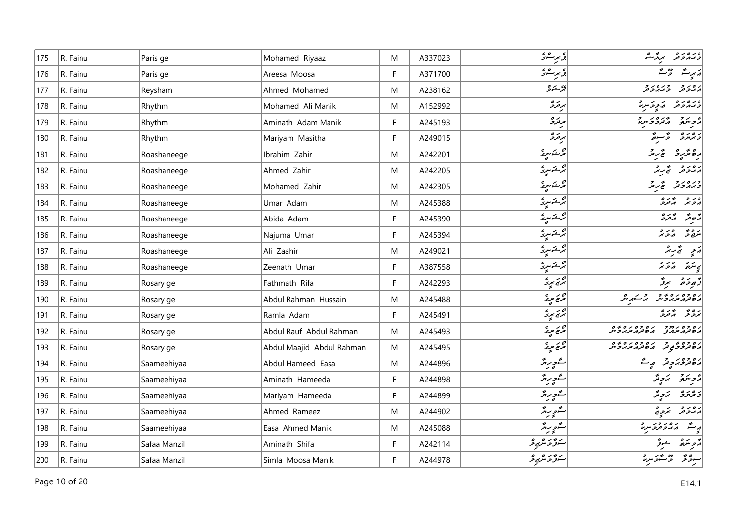| 175 | R. Fainu | Paris ge     | Mohamed Riyaaz            | M           | A337023 | ې موسوي<br>بو موسوي               | ورەرو بروگ                                                                                               |
|-----|----------|--------------|---------------------------|-------------|---------|-----------------------------------|----------------------------------------------------------------------------------------------------------|
| 176 | R. Fainu | Paris ge     | Areesa Moosa              | E           | A371700 | ې <sub>مور</sub> ه دي<br>د مو     | دو مح<br>لئەسپە يەشە                                                                                     |
| 177 | R. Fainu | Reysham      | Ahmed Mohamed             | M           | A238162 | بۇيدە                             | נפנד בנסנד<br>הגבת בגהבת                                                                                 |
| 178 | R. Fainu | Rhythm       | Mohamed Ali Manik         | M           | A152992 | برترو                             | כמחכת היכליטי                                                                                            |
| 179 | R. Fainu | Rhythm       | Aminath Adam Manik        | F           | A245193 | ىرىزد                             | پوره ر در<br>مرکز د کرره<br>أرمز                                                                         |
| 180 | R. Fainu | Rhythm       | Mariyam Masitha           | F           | A249015 | برىزە                             | رەرە ئەستۇ                                                                                               |
| 181 | R. Fainu | Roashaneege  | Ibrahim Zahir             | M           | A242201 | تريئة مبرئة                       | رە ئەيرو ئ <sub>ە</sub> رىز                                                                              |
| 182 | R. Fainu | Roashaneege  | Ahmed Zahir               | M           | A242205 | مرڪسرءَ<br>پ                      | برەرو ئېرىر                                                                                              |
| 183 | R. Fainu | Roashaneege  | Mohamed Zahir             | M           | A242305 | ترىشەمىرگە                        | وره دو ځريز                                                                                              |
| 184 | R. Fainu | Roashaneege  | Umar Adam                 | M           | A245388 | ە<br>ئىرىشەس <sub>ىرى</sub> گە    | ور و پره<br>در ر                                                                                         |
| 185 | R. Fainu | Roashaneege  | Abida Adam                | F           | A245390 | مرڪسري<br>مرڪس <sub>و</sub>       | ړُه پَر پره                                                                                              |
| 186 | R. Fainu | Roashaneege  | Najuma Umar               | F           | A245394 | ترڪسري                            | ر و د مر در د<br>سرچ د کرن کر                                                                            |
| 187 | R. Fainu | Roashaneege  | Ali Zaahir                | M           | A249021 | ترڪسري                            | $\frac{2}{3}$ $\frac{2}{3}$ $\frac{2}{3}$                                                                |
| 188 | R. Fainu | Roashaneege  | Zeenath Umar              | $\mathsf F$ | A387558 | ترىشەسرىگە                        | ى ئىر ئەر ئەر ئە                                                                                         |
| 189 | R. Fainu | Rosary ge    | Fathmath Rifa             | F           | A242293 | ہ پر ہے<br>تنزیح میری             | ۇۋۇۋە بېرۇ                                                                                               |
| 190 | R. Fainu | Rosary ge    | Abdul Rahman Hussain      | M           | A245488 | ہ پر پر پر<br>مربح موبچہ          | ره وه ره ده و<br>مصرم برروس<br>برسەمەرىش                                                                 |
| 191 | R. Fainu | Rosary ge    | Ramla Adam                | F           | A245491 | ہ پر ہر ہ<br>تنزیح موری           | ره و په ده<br>برونو گرترو                                                                                |
| 192 | R. Fainu | Rosary ge    | Abdul Rauf Abdul Rahman   | M           | A245493 | ەر<br>ئىرىئے ئىپ <sub>رى</sub> مە | נס כס נדכב נס כס נס 4 ס<br>השינו או אל השינו אינגיק                                                      |
| 193 | R. Fainu | Rosary ge    | Abdul Maajid Abdul Rahman | M           | A245495 | ہ<br>تریخ مور                     | נים כם כי כי נים כם נים בים היום היום היום היום היום ביותר.<br>הנים בקיבקי בקיבור הנים בקיבה היום ביותר. |
| 194 | R. Fainu | Saameehiyaa  | Abdul Hameed Easa         | M           | A244896 | سە<br>ئەسرىر                      | ړه وه رو په په                                                                                           |
| 195 | R. Fainu | Saameehiyaa  | Aminath Hameeda           | $\mathsf F$ | A244898 | ش <sup>ې</sup> د برېژ<br>د بر     | ړٌ پر پر پر پر پر                                                                                        |
| 196 | R. Fainu | Saameehiyaa  | Mariyam Hameeda           | F           | A244899 | ش <sub>وچە رى</sub> ر             | رەرە بەر                                                                                                 |
| 197 | R. Fainu | Saameehiyaa  | Ahmed Rameez              | M           | A244902 | سەھ بەر<br>ئىقىرىس                | ړه دی پر د                                                                                               |
| 198 | R. Fainu | Saameehiyaa  | Easa Ahmed Manik          | M           | A245088 | مەھ<br>سەھەر بىر                  |                                                                                                          |
| 199 | R. Fainu | Safaa Manzil | Aminath Shifa             | F           | A242114 | السؤد شيوفر                       | أثر حريج<br>شەرگە                                                                                        |
| 200 | R. Fainu | Safaa Manzil | Simla Moosa Manik         | F           | A244978 | سەۋ ئەشبى بى                      | היבב ביביעו                                                                                              |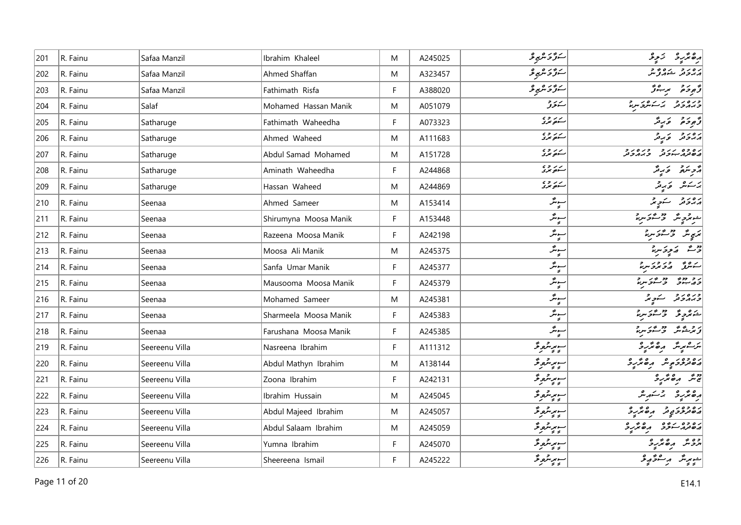| 201 | R. Fainu | Safaa Manzil   | Ibrahim Khaleel       | M  | A245025 | رىز ئەر ھ <sub>ىنجى</sub> ئە | رەنزىرو تەرو                                                                                          |
|-----|----------|----------------|-----------------------|----|---------|------------------------------|-------------------------------------------------------------------------------------------------------|
| 202 | R. Fainu | Safaa Manzil   | Ahmed Shaffan         | M  | A323457 | سەۋ ئەشرىپ بۇ                | رەرد بەەپەر                                                                                           |
| 203 | R. Fainu | Safaa Manzil   | Fathimath Risfa       | F. | A388020 | سەۋ ئەشرىپ بۇ                | ژوده برجۇ                                                                                             |
| 204 | R. Fainu | Salaf          | Mohamed Hassan Manik  | M  | A051079 | سەنزىق                       | כנסנכן האולי הק                                                                                       |
| 205 | R. Fainu | Satharuge      | Fathimath Waheedha    | F  | A073323 | ر ر د د<br>ستمبر             | وٌجوحَہُ وَرِمَّہُ                                                                                    |
| 206 | R. Fainu | Satharuge      | Ahmed Waheed          | M  | A111683 | ر ر و د<br>ستمبری            | برەر ئەرقر                                                                                            |
| 207 | R. Fainu | Satharuge      | Abdul Samad Mohamed   | M  | A151728 | ر ر و ،<br>ستمبر             | נסכם נינ כנסנכ<br>השנה-יכנג כגהכנג                                                                    |
| 208 | R. Fainu | Satharuge      | Aminath Waheedha      | F  | A244868 | ر ر و ،<br>سعو بو و          | أأزحر سكرة وتحريقه                                                                                    |
| 209 | R. Fainu | Satharuge      | Hassan Waheed         | M  | A244869 | ر ر و د<br>ستمبری            | پرسترس الاراد                                                                                         |
| 210 | R. Fainu | Seenaa         | Ahmed Sameer          | M  | A153414 | سەپىگر                       | دەرو سەچە                                                                                             |
| 211 | R. Fainu | Seenaa         | Shirumyna Moosa Manik | F. | A153448 | سەپىگر                       | موند و المستخدم المستخدم المستخدم المستخدم المستخدم المستخدم المستخدم المستخدم المستخدم المستخدم الم  |
| 212 | R. Fainu | Seenaa         | Razeena Moosa Manik   | F  | A242198 | سىپىتىر<br>ئى                | ىمە ئەسىرىدە ئەرەپىيە ئەرەپ ئەرەپ ئەرەپ ئەرەپ ئەرەپ ئەرەپ ئەرەپ ئەرەپ كەنتە ئەرەپ كەرەپ كەرەپ ئەزا ئە |
| 213 | R. Fainu | Seenaa         | Moosa Ali Manik       | M  | A245375 | اسىپىتىر<br>ئىسىگە           | ويستم ويموجه سره                                                                                      |
| 214 | R. Fainu | Seenaa         | Sanfa Umar Manik      | F  | A245377 | ىبەتىر                       | سكس ورور در                                                                                           |
| 215 | R. Fainu | Seenaa         | Mausooma Moosa Manik  | F. | A245379 | سەپىگە                       | נכחבר חבר מנות                                                                                        |
| 216 | R. Fainu | Seenaa         | Mohamed Sameer        | M  | A245381 | سومتر                        | ورورو كوپر                                                                                            |
| 217 | R. Fainu | Seenaa         | Sharmeela Moosa Manik | F. | A245383 | سەپتر                        | أشهرونخ ومشوسرة                                                                                       |
| 218 | R. Fainu | Seenaa         | Farushana Moosa Manik | F. | A245385 | سەمىگە                       | ۇ ئارشۇنىڭ بار ئاس ئار                                                                                |
| 219 | R. Fainu | Seereenu Villa | Nasreena Ibrahim      | F  | A111312 | سەبىر بىرى<br>ئىقسىم         | ەرھەترىر <sup>ى</sup><br>ىئە <sup>ر م</sup> ەسمە ئىگر                                                 |
| 220 | R. Fainu | Seereenu Villa | Abdul Mathyn Ibrahim  | M  | A138144 | سىيرىترە ۋ                   | ر ه وه ر<br>پره ترڅرخه په<br>ەھ تررۈ                                                                  |
| 221 | R. Fainu | Seereenu Villa | Zoona Ibrahim         | F  | A242131 | سەبىر بىرى<br>ئ              | وديمه ره محرب                                                                                         |
| 222 | R. Fainu | Seereenu Villa | Ibrahim Hussain       | M  | A245045 | سەبىر بىرى<br>ئ              | مەھترىرى بر شەر ش                                                                                     |
| 223 | R. Fainu | Seereenu Villa | Abdul Majeed Ibrahim  | M  | A245057 | سەبىر بىرى ئۇ<br>ئىقسىسىر    | גם כם גב"ר הסתקיב                                                                                     |
| 224 | R. Fainu | Seereenu Villa | Abdul Salaam Ibrahim  | M  | A245059 | سەبىر بىر بورۇ<br>ئىقسىسىم   | גם כם גם ם פיק כ                                                                                      |
| 225 | R. Fainu | Seereenu Villa | Yumna Ibrahim         | F  | A245070 | سەمە يىز <sub>ى</sub> موقە   | כם מ" הסיבתיב                                                                                         |
| 226 | R. Fainu | Seereenu Villa | Sheereena Ismail      | F. | A245222 | سومبر يتر <sub>حو</sub> محر  | شوبرنگر بر عظیم و                                                                                     |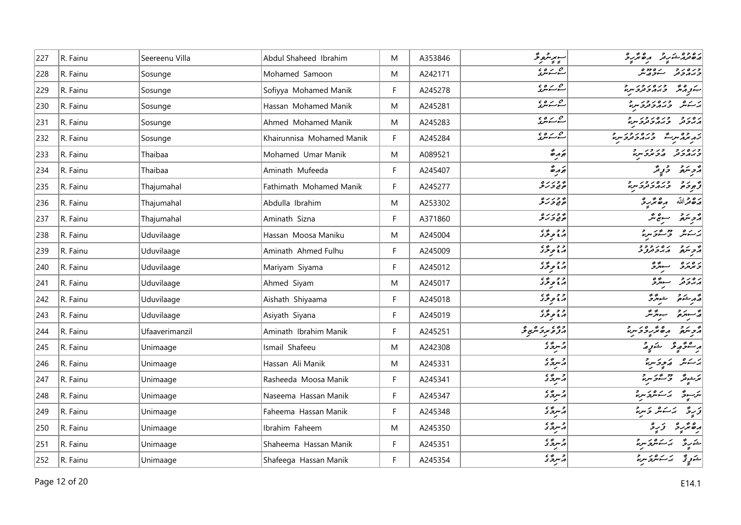| 227 | R. Fainu | Seereenu Villa | Abdul Shaheed Ibrahim     | M           | A353846 | اسەبىر يېڭىدىگە<br><u>شەھ</u>  | גפנג ביניג גפיליק                                                                                                                                                                                                                                                                                                                                                                                                                                                          |
|-----|----------|----------------|---------------------------|-------------|---------|--------------------------------|----------------------------------------------------------------------------------------------------------------------------------------------------------------------------------------------------------------------------------------------------------------------------------------------------------------------------------------------------------------------------------------------------------------------------------------------------------------------------|
| 228 | R. Fainu | Sosunge        | Mohamed Samoon            | M           | A242171 | <u>م ئەيدى</u>                 | ورەرو رەددە<br><i>دىد</i> رونر سۇم                                                                                                                                                                                                                                                                                                                                                                                                                                         |
| 229 | R. Fainu | Sosunge        | Sofiyya Mohamed Manik     | F           | A245278 | <u>مى ئەيىرى</u>               | ה פי כנסנכנה                                                                                                                                                                                                                                                                                                                                                                                                                                                               |
| 230 | R. Fainu | Sosunge        | Hassan Mohamed Manik      | M           | A245281 | <u>مى ئەيدى</u>                | ג׳ליל כנהכתליתי                                                                                                                                                                                                                                                                                                                                                                                                                                                            |
| 231 | R. Fainu | Sosunge        | Ahmed Mohamed Manik       | M           | A245283 | <u>م بە يەرى</u>               | גפג כ כגסגבג כ<br>גגבת כגתכתכתית                                                                                                                                                                                                                                                                                                                                                                                                                                           |
| 232 | R. Fainu | Sosunge        | Khairunnisa Mohamed Manik | F           | A245284 | <u>م ئەيدى</u>                 | התהרית בינורית                                                                                                                                                                                                                                                                                                                                                                                                                                                             |
| 233 | R. Fainu | Thaibaa        | Mohamed Umar Manik        | M           | A089521 | جەدى                           | כנסני בניבצית                                                                                                                                                                                                                                                                                                                                                                                                                                                              |
| 234 | R. Fainu | Thaibaa        | Aminath Mufeeda           | F           | A245407 | لبرمة                          | ړٌ پر په دوړ کړ                                                                                                                                                                                                                                                                                                                                                                                                                                                            |
| 235 | R. Fainu | Thajumahal     | Fathimath Mohamed Manik   | F           | A245277 | پ ور ره<br>م <i>ونع و ر</i> کو | רביב בנסגבת ב                                                                                                                                                                                                                                                                                                                                                                                                                                                              |
| 236 | R. Fainu | Thajumahal     | Abdulla Ibrahim           | M           | A253302 | پ ور ره<br>م <i>ونع و ر</i> کو | ەھىراللە<br>ەرھەترىر <sup>ى</sup>                                                                                                                                                                                                                                                                                                                                                                                                                                          |
| 237 | R. Fainu | Thajumahal     | Aminath Sizna             | F           | A371860 | پ ور ره<br>م <i>ونع و ر</i> کو | $\overbrace{\phantom{0} \phantom{0} \phantom{0} \phantom{0} \phantom{0} \phantom{0} \phantom{0} \phantom{0} \phantom{0} \phantom{0} \phantom{0} \phantom{0} \phantom{0} \phantom{0} \phantom{0} \phantom{0} \phantom{0} \phantom{0} \phantom{0} \phantom{0} \phantom{0} \phantom{0} \phantom{0} \phantom{0} \phantom{0} \phantom{0} \phantom{0} \phantom{0} \phantom{0} \phantom{0} \phantom{0} \phantom{0} \phantom{0} \phantom{0} \phantom{0} \phantom{0} \$<br>أرمز تره |
| 238 | R. Fainu | Uduvilaage     | Hassan Moosa Maniku       | M           | A245004 | د ? عرمحه ؟                    | يركسكس والمشكور والمرد                                                                                                                                                                                                                                                                                                                                                                                                                                                     |
| 239 | R. Fainu | Uduvilaage     | Aminath Ahmed Fulhu       | F.          | A245009 | د د په په<br>مروغۍ             | د د د ده دود.<br>مرد سي مدرونرو د                                                                                                                                                                                                                                                                                                                                                                                                                                          |
| 240 | R. Fainu | Uduvilaage     | Mariyam Siyama            | F           | A245012 | د د په په<br>مرغ توڅر          | ر ه بر ه<br><del>د</del> بر بر د<br>سىدى                                                                                                                                                                                                                                                                                                                                                                                                                                   |
| 241 | R. Fainu | Uduvilaage     | Ahmed Siyam               | M           | A245017 | د د پره<br>د ډېونژۍ            | سەدۇ<br>ر ەر ج<br>م <i>.ئ</i> رى تىر                                                                                                                                                                                                                                                                                                                                                                                                                                       |
| 242 | R. Fainu | Uduvilaage     | Aishath Shiyaama          | $\mathsf F$ | A245018 | د د په په<br>مرغونونو          | شەدگرگر<br>و<br>پر ديگر ج                                                                                                                                                                                                                                                                                                                                                                                                                                                  |
| 243 | R. Fainu | Uduvilaage     | Asiyath Siyana            | F           | A245019 | د د و د و،<br>مروغ د           | ה החבק החבית<br>ה                                                                                                                                                                                                                                                                                                                                                                                                                                                          |
| 244 | R. Fainu | Ufaaverimanzil | Aminath Ibrahim Manik     | F           | A245251 | دیری برد مګری                  | ە ھەمەر 25 سرىد<br>ړځ سره                                                                                                                                                                                                                                                                                                                                                                                                                                                  |
| 245 | R. Fainu | Unimaage       | Ismail Shafeeu            | M           | A242308 | د سرچ د                        | بر شۇم ئو سىر بەر                                                                                                                                                                                                                                                                                                                                                                                                                                                          |
| 246 | R. Fainu | Unimaage       | Hassan Ali Manik          | M           | A245331 | ۾ سرچء<br>م                    | يركسكر كالموكاسرة                                                                                                                                                                                                                                                                                                                                                                                                                                                          |
| 247 | R. Fainu | Unimaage       | Rasheeda Moosa Manik      | F           | A245341 | د سرچ د<br>مر                  | ىرىسىڭ 2- ئەركىرىد <sup>9</sup>                                                                                                                                                                                                                                                                                                                                                                                                                                            |
| 248 | R. Fainu | Unimaage       | Naseema Hassan Manik      | F           | A245347 | د سرچري<br>م                   | لترسوق الاستاندة للربائه                                                                                                                                                                                                                                                                                                                                                                                                                                                   |
| 249 | R. Fainu | Unimaage       | Faheema Hassan Manik      | F           | A245348 | د<br>مسرچۍ                     | تزرده الاسكار والرام                                                                                                                                                                                                                                                                                                                                                                                                                                                       |
| 250 | R. Fainu | Unimaage       | Ibrahim Faheem            | M           | A245350 | اپر سرچ <sup>ي</sup>           |                                                                                                                                                                                                                                                                                                                                                                                                                                                                            |
| 251 | R. Fainu | Unimaage       | Shaheema Hassan Manik     | F           | A245351 | دسرچء                          | ے کے رقبے<br>خ<br>ىر كەنگە ئەرىر<br>مەسىرى                                                                                                                                                                                                                                                                                                                                                                                                                                 |
| 252 | R. Fainu | Unimaage       | Shafeega Hassan Manik     | F           | A245354 | ج سرچ ۽<br>م                   | أَحْدَرٍ فَى أَسْتَامِرُ فَاسِرِ مِنْ                                                                                                                                                                                                                                                                                                                                                                                                                                      |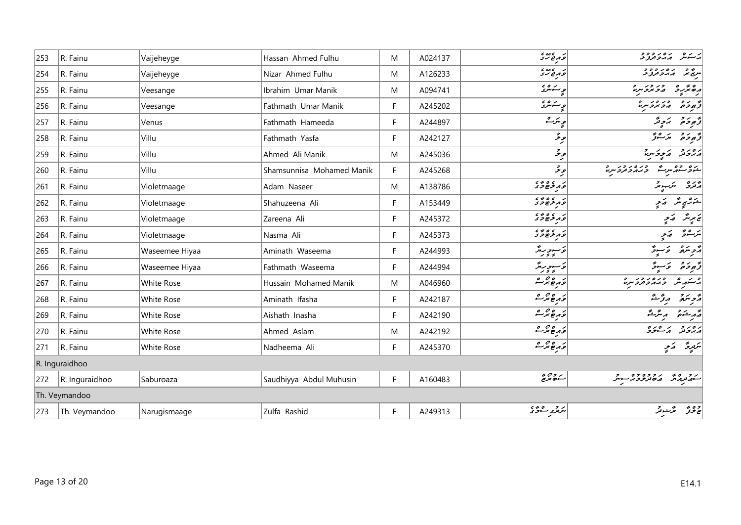| 253 | R. Fainu       | Vaijeheyge        | Hassan Ahmed Fulhu        | M         | A024137 | ر<br>تومړين <i>د</i> ک             | ر کے معرض مرد وجود کر دیا تھا کہ اسکون کے محت کے مطابق کے مقدم کے مقدم کے مقدم کے مقدم کے مقدم کے مقدم کے مقدم<br>مقدم کی مقدم کے مقدم کے مقدم کرنے کے مقدم کرنے کے مقدم کرنے کے مقدم کے مقدم کے مقدم کے مقدم کے مقدم کے مقدم کے |
|-----|----------------|-------------------|---------------------------|-----------|---------|------------------------------------|----------------------------------------------------------------------------------------------------------------------------------------------------------------------------------------------------------------------------------|
| 254 | R. Fainu       | Vaijeheyge        | Nizar Ahmed Fulhu         | M         | A126233 | ر<br>  تو مربع رئ                  | ر ه ر و و و<br>پر ژ ترو تر<br> سریج تمر                                                                                                                                                                                          |
| 255 | R. Fainu       | Veesange          | Ibrahim Umar Manik        | M         | A094741 | اوپەتىدى                           | כן כן הק<br>נג'ב ייניו<br>ېر ھې تر په د                                                                                                                                                                                          |
| 256 | R. Fainu       | Veesange          | Fathmath Umar Manik       | F         | A245202 | ە سەمىرى                           | ا توجو څخه<br>ב ז' ב ז' היי בי                                                                                                                                                                                                   |
| 257 | R. Fainu       | Venus             | Fathmath Hameeda          | F         | A244897 | <sub>حو</sub> سَرَتْہ              | د څو څخه له کمتونگر                                                                                                                                                                                                              |
| 258 | R. Fainu       | Villu             | Fathmath Yasfa            | F         | A242127 | حرقحه                              | أزَّبوحَ مَرَ الرَّمْرُ                                                                                                                                                                                                          |
| 259 | R. Fainu       | Villu             | Ahmed Ali Manik           | M         | A245036 | حرقحه                              | أرورو أرواحية                                                                                                                                                                                                                    |
| 260 | R. Fainu       | Villu             | Shamsunnisa Mohamed Manik | F         | A245268 | حرقحر                              | בי הרי הרי המבנבית                                                                                                                                                                                                               |
| 261 | R. Fainu       | Violetmaage       | Adam Naseer               | ${\sf M}$ | A138786 | أقار وه و و و                      | پر تر سر سر سر تر                                                                                                                                                                                                                |
| 262 | R. Fainu       | Violetmaage       | Shahuzeena Ali            | F         | A153449 | ر ري ه و د ،<br>مرکز هو د          | شەرىپ ئىگە سەمىي                                                                                                                                                                                                                 |
| 263 | R. Fainu       | Violetmaage       | Zareena Ali               | F         | A245372 | د بر د ه و د                       | كي پرېتش كې يې                                                                                                                                                                                                                   |
| 264 | R. Fainu       | Violetmaage       | Nasma Ali                 | F         | A245373 | پر په ويو په<br>  <i>و</i> پر پر چ | ىئەرمەمچ<br>ەكىر                                                                                                                                                                                                                 |
| 265 | R. Fainu       | Waseemee Hiyaa    | Aminath Waseema           | F         | A244993 | اۇسورىدۇ.<br><u>ئىقق</u> ىيە       | أأروبتهم وكسبوش                                                                                                                                                                                                                  |
| 266 | R. Fainu       | Waseemee Hiyaa    | Fathmath Waseema          | F         | A244994 | لەسىدە رەڭر<br>ئىققىقىسى           | وُجِرَةً وَسِيرً                                                                                                                                                                                                                 |
| 267 | R. Fainu       | <b>White Rose</b> | Hussain Mohamed Manik     | M         | A046960 | ئەرەم ئەر                          | 2 באת יש 2 בי 2 ביבי בית יש<br>המשתיים המודי ביבית יש                                                                                                                                                                            |
| 268 | R. Fainu       | <b>White Rose</b> | Aminath Ifasha            | F         | A242187 | 2.2882                             | أزوينهم أرقشة                                                                                                                                                                                                                    |
| 269 | R. Fainu       | White Rose        | Aishath Inasha            | F         | A242190 | ە مەھ بۇ ھ                         | أقدم شكاهي ويترسك                                                                                                                                                                                                                |
| 270 | IR. Fainu      | <b>White Rose</b> | Ahmed Aslam               | M         | A242192 | لخروعهم                            | أرور ومستوره                                                                                                                                                                                                                     |
| 271 | R. Fainu       | <b>White Rose</b> | Nadheema Ali              | F         | A245370 | ئەمرىقىمى <sup>م</sup>             | سَعِرِدَّ - سَرِ                                                                                                                                                                                                                 |
|     | R. Inguraidhoo |                   |                           |           |         |                                    |                                                                                                                                                                                                                                  |
| 272 | R. Inguraidhoo | Saburoaza         | Saudhiyya Abdul Muhusin   | F         | A160483 | ر و 0 ء<br>سەھ بىرىنى              | ת כ ס מ ת כ כ ס כ ס ה ב<br>התבנגות השבת כ ב גל הבית                                                                                                                                                                              |
|     | Th. Veymandoo  |                   |                           |           |         |                                    |                                                                                                                                                                                                                                  |
| 273 | Th. Veymandoo  | Narugismaage      | Zulfa Rashid              | F         | A249313 | يرچ په صوبر په                     | وه به محمد محمد السنة التي تحرير<br>المحاضر المحمد السنة التي تحرير                                                                                                                                                              |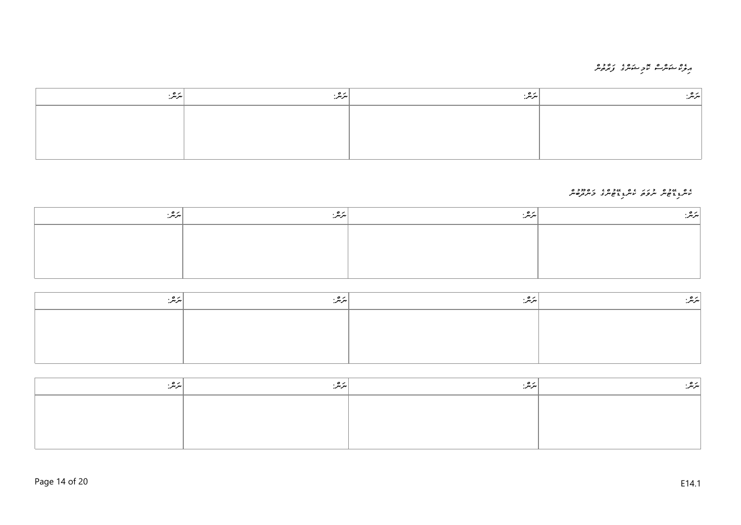## *w7qAn8m? sCw7mRo>u; wEw7mRw;sBo<*

| ' مرمر | 'يئرىثر: |
|--------|----------|
|        |          |
|        |          |
|        |          |

## *w7q9r@w7m> sCw7qHtFoFw7s; mAm=q7 w7qHtFoFw7s;*

| ىر تە | $\mathcal{O} \times$<br>$\sim$ | $\sim$<br>. . | لترنثر |
|-------|--------------------------------|---------------|--------|
|       |                                |               |        |
|       |                                |               |        |
|       |                                |               |        |

| $\frac{2}{n}$ | $\overline{\phantom{a}}$ | اير هنه. | $\mathcal{O} \times$<br>سرسر |
|---------------|--------------------------|----------|------------------------------|
|               |                          |          |                              |
|               |                          |          |                              |
|               |                          |          |                              |

| ىرتىر: | 。<br>سر سر | .,<br>مرسر |
|--------|------------|------------|
|        |            |            |
|        |            |            |
|        |            |            |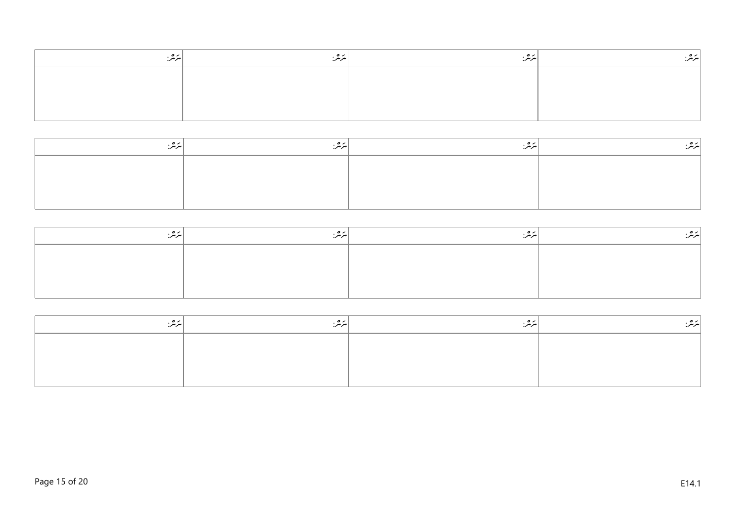| يزهر | $^{\circ}$ | ىئرىتر: |  |
|------|------------|---------|--|
|      |            |         |  |
|      |            |         |  |
|      |            |         |  |

| <sup>.</sup> سرسر. |  |
|--------------------|--|
|                    |  |
|                    |  |
|                    |  |

| ىئرىتر. | $\sim$ | ا بر هه. | لىرىش |
|---------|--------|----------|-------|
|         |        |          |       |
|         |        |          |       |
|         |        |          |       |

| 。<br>مرس. | $\overline{\phantom{a}}$<br>مر مىر | يتريثر |
|-----------|------------------------------------|--------|
|           |                                    |        |
|           |                                    |        |
|           |                                    |        |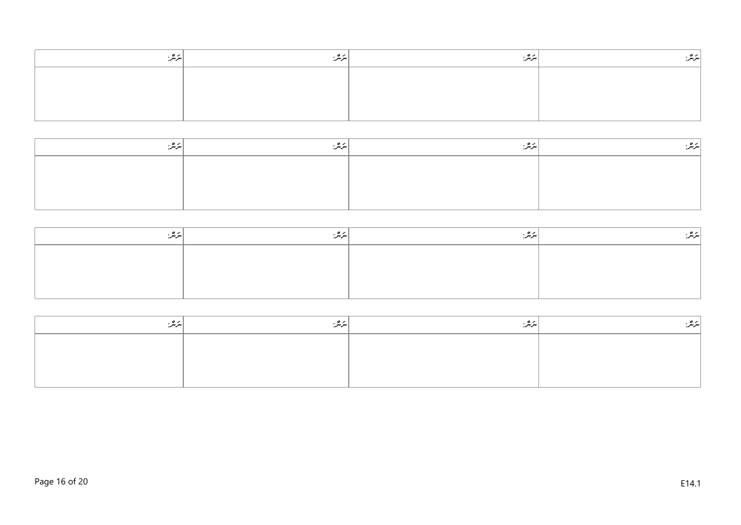| ير هو . | $\overline{\phantom{a}}$ | يرمر | اير هنه. |
|---------|--------------------------|------|----------|
|         |                          |      |          |
|         |                          |      |          |
|         |                          |      |          |

| ىر تىر: | $\circ$ $\sim$<br>" سرسر . | يترمير | o . |
|---------|----------------------------|--------|-----|
|         |                            |        |     |
|         |                            |        |     |
|         |                            |        |     |

| 'تترنثر: | . .<br>يسمونس. |  |
|----------|----------------|--|
|          |                |  |
|          |                |  |
|          |                |  |

|  | . ه |
|--|-----|
|  |     |
|  |     |
|  |     |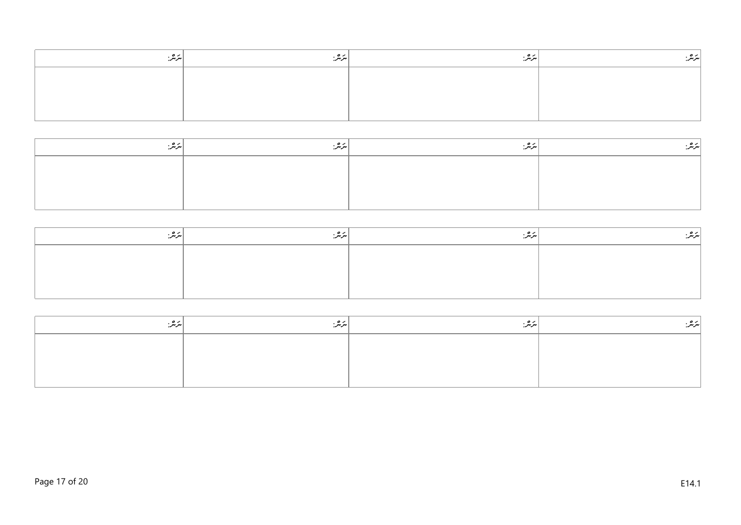| ير هو . | $\overline{\phantom{a}}$ | يرمر | اير هنه. |
|---------|--------------------------|------|----------|
|         |                          |      |          |
|         |                          |      |          |
|         |                          |      |          |

| ئىرتىر: | $\sim$<br>ا سرسر . | يئرمثر | o . |
|---------|--------------------|--------|-----|
|         |                    |        |     |
|         |                    |        |     |
|         |                    |        |     |

| 'تترنثر: | 。<br>,,,, |  |
|----------|-----------|--|
|          |           |  |
|          |           |  |
|          |           |  |

|  | . ه |
|--|-----|
|  |     |
|  |     |
|  |     |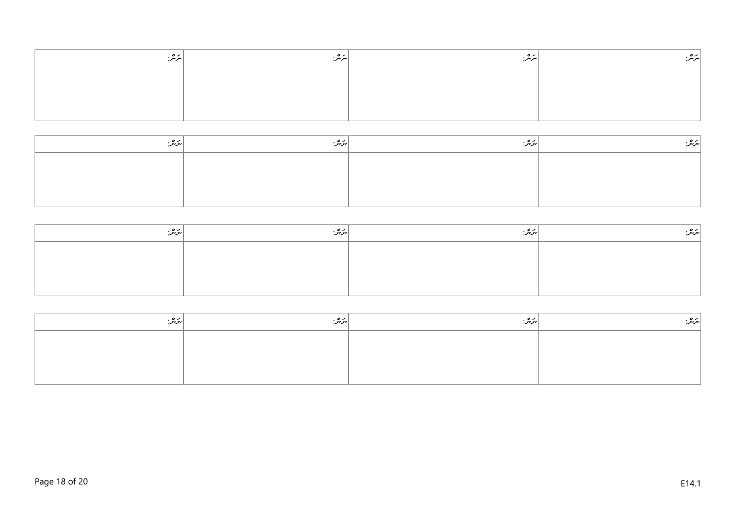| $\cdot$ | 。 | $\frac{\circ}{\cdot}$ | $\sim$<br>سرسر |
|---------|---|-----------------------|----------------|
|         |   |                       |                |
|         |   |                       |                |
|         |   |                       |                |

| ايرعر: | ر ه<br>. . |  |
|--------|------------|--|
|        |            |  |
|        |            |  |
|        |            |  |

| بر ه | . ه | $\sim$<br>سرسر |  |
|------|-----|----------------|--|
|      |     |                |  |
|      |     |                |  |
|      |     |                |  |

| 。<br>. س | ىرىىر |  |
|----------|-------|--|
|          |       |  |
|          |       |  |
|          |       |  |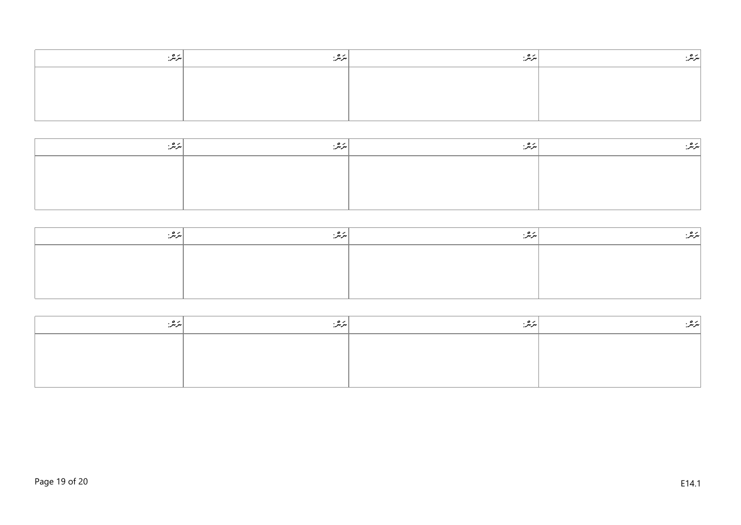| ير هو . | $\overline{\phantom{a}}$ | يرمر | اير هنه. |
|---------|--------------------------|------|----------|
|         |                          |      |          |
|         |                          |      |          |
|         |                          |      |          |

| ىر تىر: | $\circ$ $\sim$<br>" سرسر . | يترمير | o . |
|---------|----------------------------|--------|-----|
|         |                            |        |     |
|         |                            |        |     |
|         |                            |        |     |

| 'تترنثر: | 。<br>,,,, |  |
|----------|-----------|--|
|          |           |  |
|          |           |  |
|          |           |  |

|  | . ه |
|--|-----|
|  |     |
|  |     |
|  |     |